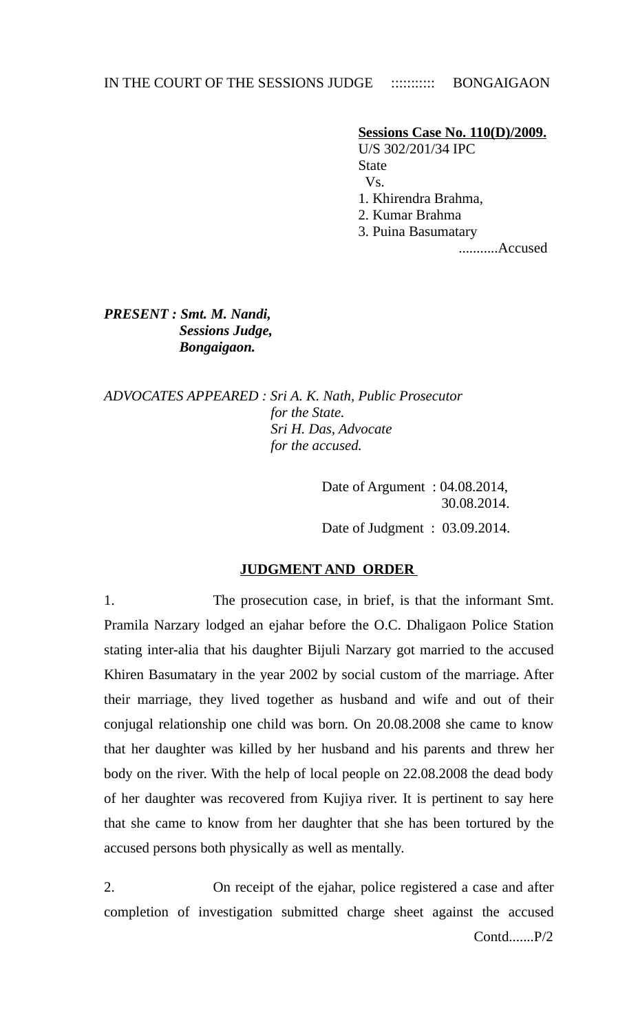IN THE COURT OF THE SESSIONS JUDGE :::::::::::: BONGAIGAON

**Sessions Case No. 110(D)/2009.**

 U/S 302/201/34 IPC State Vs.

- 1. Khirendra Brahma,
- 2. Kumar Brahma

3. Puina Basumatary

...........Accused

*PRESENT : Smt. M. Nandi, Sessions Judge, Bongaigaon.* 

*ADVOCATES APPEARED : Sri A. K. Nath, Public Prosecutor for the State. Sri H. Das, Advocate for the accused.* 

> Date of Argument : 04.08.2014, 30.08.2014.

> Date of Judgment : 03.09.2014.

## **JUDGMENT AND ORDER**

1. The prosecution case, in brief, is that the informant Smt. Pramila Narzary lodged an ejahar before the O.C. Dhaligaon Police Station stating inter-alia that his daughter Bijuli Narzary got married to the accused Khiren Basumatary in the year 2002 by social custom of the marriage. After their marriage, they lived together as husband and wife and out of their conjugal relationship one child was born. On 20.08.2008 she came to know that her daughter was killed by her husband and his parents and threw her body on the river. With the help of local people on 22.08.2008 the dead body of her daughter was recovered from Kujiya river. It is pertinent to say here that she came to know from her daughter that she has been tortured by the accused persons both physically as well as mentally.

2. On receipt of the ejahar, police registered a case and after completion of investigation submitted charge sheet against the accused Contd.......P/2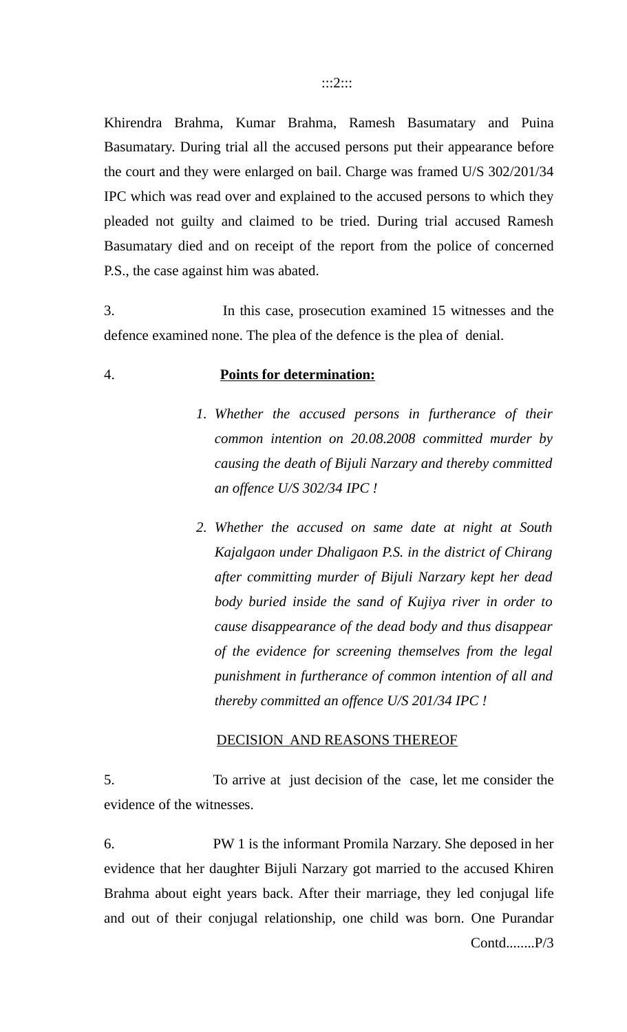Khirendra Brahma, Kumar Brahma, Ramesh Basumatary and Puina Basumatary. During trial all the accused persons put their appearance before the court and they were enlarged on bail. Charge was framed U/S 302/201/34 IPC which was read over and explained to the accused persons to which they pleaded not guilty and claimed to be tried. During trial accused Ramesh Basumatary died and on receipt of the report from the police of concerned P.S., the case against him was abated.

3. In this case, prosecution examined 15 witnesses and the defence examined none. The plea of the defence is the plea of denial.

# 4. **Points for determination:**

- *1. Whether the accused persons in furtherance of their common intention on 20.08.2008 committed murder by causing the death of Bijuli Narzary and thereby committed an offence U/S 302/34 IPC !*
- *2. Whether the accused on same date at night at South Kajalgaon under Dhaligaon P.S. in the district of Chirang after committing murder of Bijuli Narzary kept her dead body buried inside the sand of Kujiya river in order to cause disappearance of the dead body and thus disappear of the evidence for screening themselves from the legal punishment in furtherance of common intention of all and thereby committed an offence U/S 201/34 IPC !*

## DECISION AND REASONS THEREOF

5. To arrive at just decision of the case, let me consider the evidence of the witnesses.

6. PW 1 is the informant Promila Narzary. She deposed in her evidence that her daughter Bijuli Narzary got married to the accused Khiren Brahma about eight years back. After their marriage, they led conjugal life and out of their conjugal relationship, one child was born. One Purandar Contd........P/3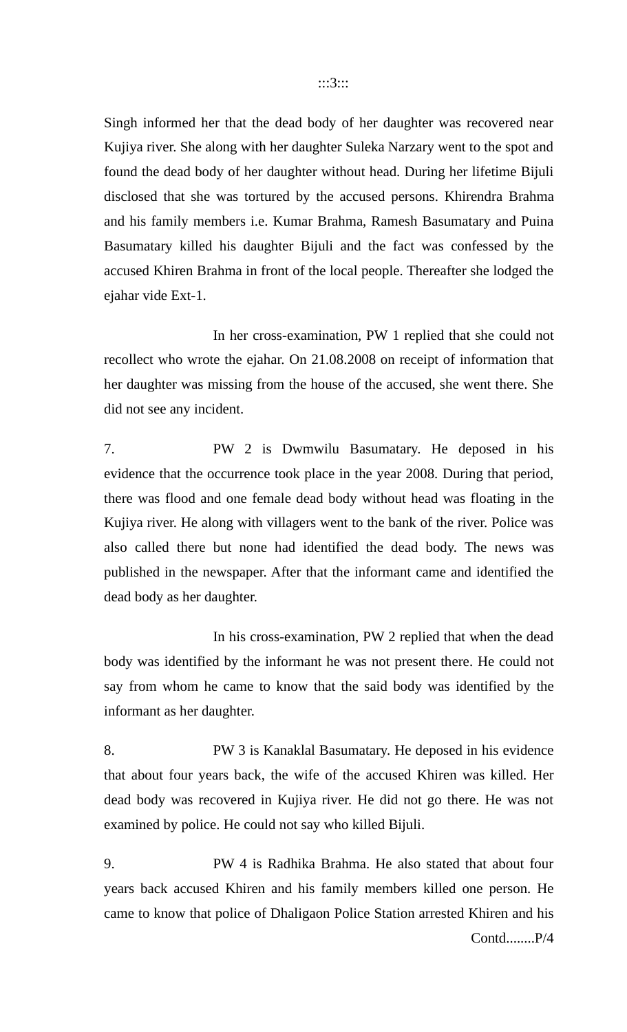Singh informed her that the dead body of her daughter was recovered near Kujiya river. She along with her daughter Suleka Narzary went to the spot and found the dead body of her daughter without head. During her lifetime Bijuli disclosed that she was tortured by the accused persons. Khirendra Brahma and his family members i.e. Kumar Brahma, Ramesh Basumatary and Puina Basumatary killed his daughter Bijuli and the fact was confessed by the accused Khiren Brahma in front of the local people. Thereafter she lodged the ejahar vide Ext-1.

In her cross-examination, PW 1 replied that she could not recollect who wrote the ejahar. On 21.08.2008 on receipt of information that her daughter was missing from the house of the accused, she went there. She did not see any incident.

7. PW 2 is Dwmwilu Basumatary. He deposed in his evidence that the occurrence took place in the year 2008. During that period, there was flood and one female dead body without head was floating in the Kujiya river. He along with villagers went to the bank of the river. Police was also called there but none had identified the dead body. The news was published in the newspaper. After that the informant came and identified the dead body as her daughter.

In his cross-examination, PW 2 replied that when the dead body was identified by the informant he was not present there. He could not say from whom he came to know that the said body was identified by the informant as her daughter.

8. PW 3 is Kanaklal Basumatary. He deposed in his evidence that about four years back, the wife of the accused Khiren was killed. Her dead body was recovered in Kujiya river. He did not go there. He was not examined by police. He could not say who killed Bijuli.

9. PW 4 is Radhika Brahma. He also stated that about four years back accused Khiren and his family members killed one person. He came to know that police of Dhaligaon Police Station arrested Khiren and his Contd........P/4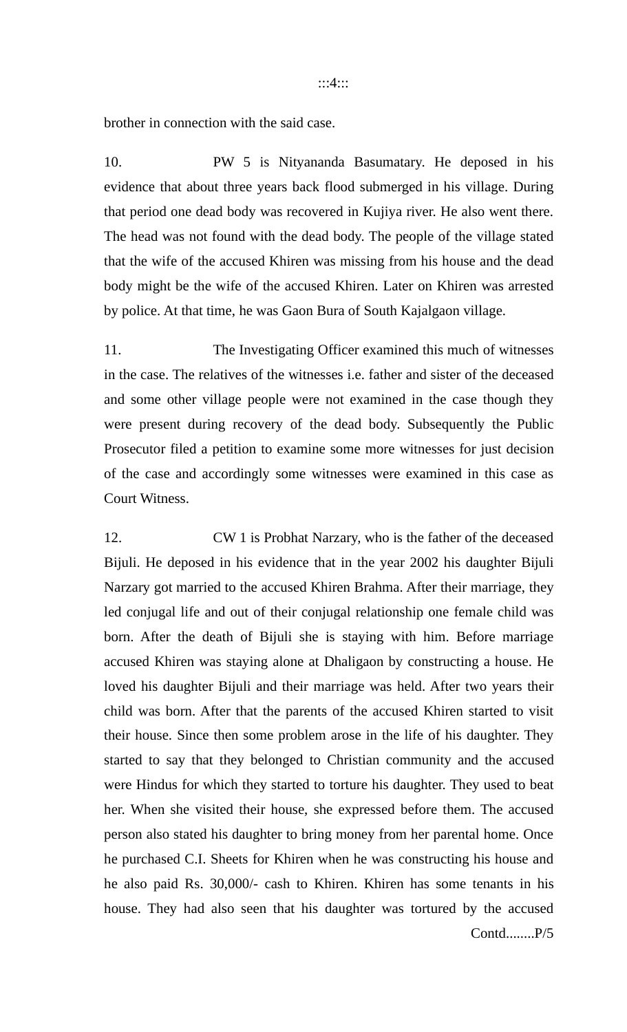brother in connection with the said case.

10. PW 5 is Nityananda Basumatary. He deposed in his evidence that about three years back flood submerged in his village. During that period one dead body was recovered in Kujiya river. He also went there. The head was not found with the dead body. The people of the village stated that the wife of the accused Khiren was missing from his house and the dead body might be the wife of the accused Khiren. Later on Khiren was arrested by police. At that time, he was Gaon Bura of South Kajalgaon village.

11. The Investigating Officer examined this much of witnesses in the case. The relatives of the witnesses i.e. father and sister of the deceased and some other village people were not examined in the case though they were present during recovery of the dead body. Subsequently the Public Prosecutor filed a petition to examine some more witnesses for just decision of the case and accordingly some witnesses were examined in this case as Court Witness.

12. CW 1 is Probhat Narzary, who is the father of the deceased Bijuli. He deposed in his evidence that in the year 2002 his daughter Bijuli Narzary got married to the accused Khiren Brahma. After their marriage, they led conjugal life and out of their conjugal relationship one female child was born. After the death of Bijuli she is staying with him. Before marriage accused Khiren was staying alone at Dhaligaon by constructing a house. He loved his daughter Bijuli and their marriage was held. After two years their child was born. After that the parents of the accused Khiren started to visit their house. Since then some problem arose in the life of his daughter. They started to say that they belonged to Christian community and the accused were Hindus for which they started to torture his daughter. They used to beat her. When she visited their house, she expressed before them. The accused person also stated his daughter to bring money from her parental home. Once he purchased C.I. Sheets for Khiren when he was constructing his house and he also paid Rs. 30,000/- cash to Khiren. Khiren has some tenants in his house. They had also seen that his daughter was tortured by the accused Contd........P/5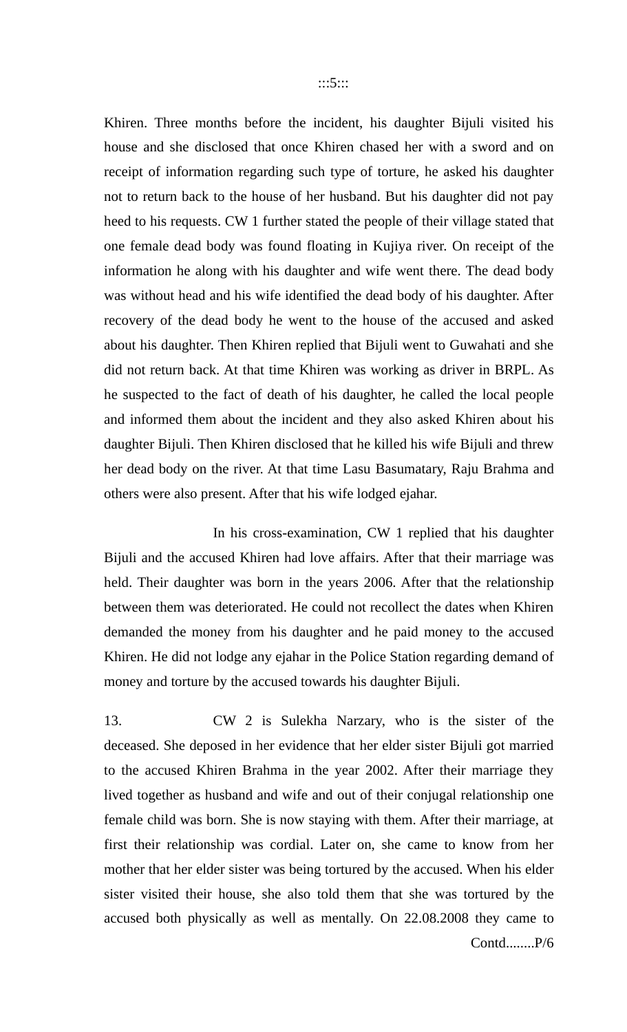Khiren. Three months before the incident, his daughter Bijuli visited his house and she disclosed that once Khiren chased her with a sword and on receipt of information regarding such type of torture, he asked his daughter not to return back to the house of her husband. But his daughter did not pay heed to his requests. CW 1 further stated the people of their village stated that one female dead body was found floating in Kujiya river. On receipt of the information he along with his daughter and wife went there. The dead body was without head and his wife identified the dead body of his daughter. After recovery of the dead body he went to the house of the accused and asked about his daughter. Then Khiren replied that Bijuli went to Guwahati and she did not return back. At that time Khiren was working as driver in BRPL. As he suspected to the fact of death of his daughter, he called the local people and informed them about the incident and they also asked Khiren about his daughter Bijuli. Then Khiren disclosed that he killed his wife Bijuli and threw her dead body on the river. At that time Lasu Basumatary, Raju Brahma and others were also present. After that his wife lodged ejahar.

In his cross-examination, CW 1 replied that his daughter Bijuli and the accused Khiren had love affairs. After that their marriage was held. Their daughter was born in the years 2006. After that the relationship between them was deteriorated. He could not recollect the dates when Khiren demanded the money from his daughter and he paid money to the accused Khiren. He did not lodge any ejahar in the Police Station regarding demand of money and torture by the accused towards his daughter Bijuli.

13. CW 2 is Sulekha Narzary, who is the sister of the deceased. She deposed in her evidence that her elder sister Bijuli got married to the accused Khiren Brahma in the year 2002. After their marriage they lived together as husband and wife and out of their conjugal relationship one female child was born. She is now staying with them. After their marriage, at first their relationship was cordial. Later on, she came to know from her mother that her elder sister was being tortured by the accused. When his elder sister visited their house, she also told them that she was tortured by the accused both physically as well as mentally. On 22.08.2008 they came to Contd........P/6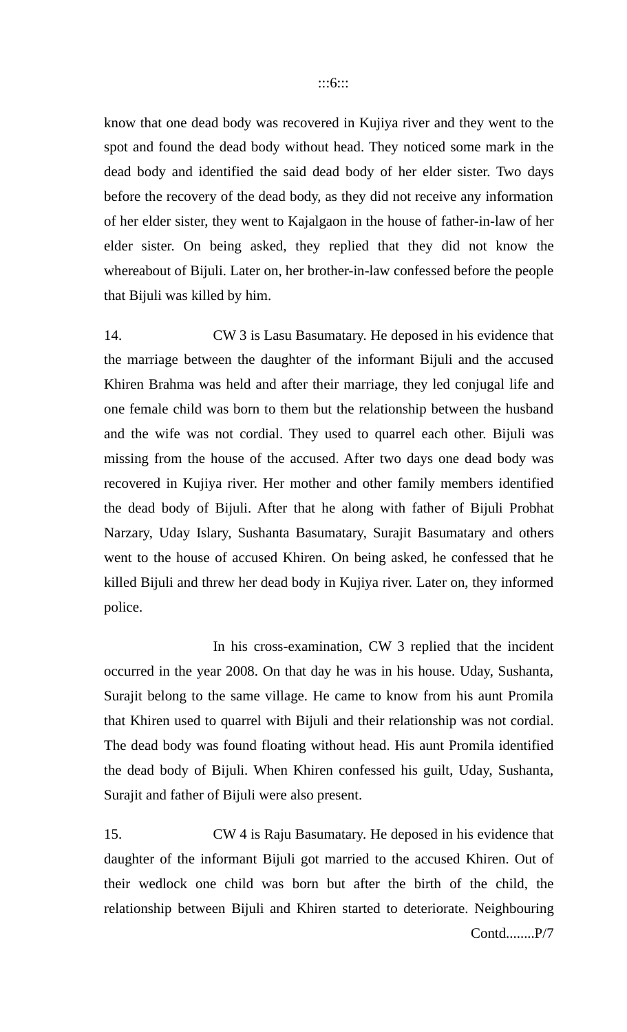know that one dead body was recovered in Kujiya river and they went to the spot and found the dead body without head. They noticed some mark in the dead body and identified the said dead body of her elder sister. Two days before the recovery of the dead body, as they did not receive any information of her elder sister, they went to Kajalgaon in the house of father-in-law of her elder sister. On being asked, they replied that they did not know the whereabout of Bijuli. Later on, her brother-in-law confessed before the people that Bijuli was killed by him.

14. CW 3 is Lasu Basumatary. He deposed in his evidence that the marriage between the daughter of the informant Bijuli and the accused Khiren Brahma was held and after their marriage, they led conjugal life and one female child was born to them but the relationship between the husband and the wife was not cordial. They used to quarrel each other. Bijuli was missing from the house of the accused. After two days one dead body was recovered in Kujiya river. Her mother and other family members identified the dead body of Bijuli. After that he along with father of Bijuli Probhat Narzary, Uday Islary, Sushanta Basumatary, Surajit Basumatary and others went to the house of accused Khiren. On being asked, he confessed that he killed Bijuli and threw her dead body in Kujiya river. Later on, they informed police.

In his cross-examination, CW 3 replied that the incident occurred in the year 2008. On that day he was in his house. Uday, Sushanta, Surajit belong to the same village. He came to know from his aunt Promila that Khiren used to quarrel with Bijuli and their relationship was not cordial. The dead body was found floating without head. His aunt Promila identified the dead body of Bijuli. When Khiren confessed his guilt, Uday, Sushanta, Surajit and father of Bijuli were also present.

15. CW 4 is Raju Basumatary. He deposed in his evidence that daughter of the informant Bijuli got married to the accused Khiren. Out of their wedlock one child was born but after the birth of the child, the relationship between Bijuli and Khiren started to deteriorate. Neighbouring Contd........P/7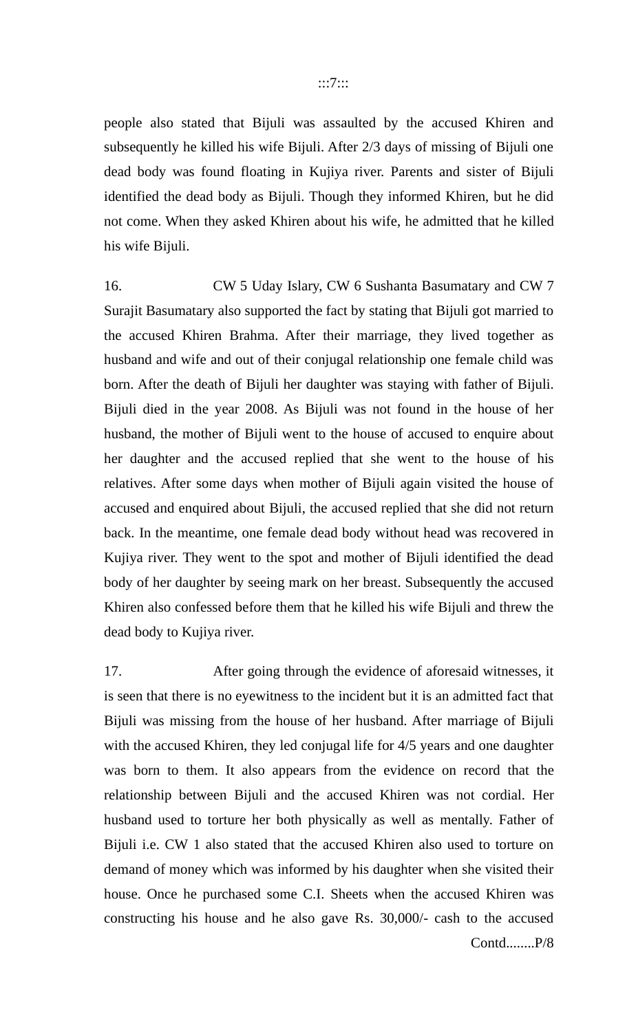people also stated that Bijuli was assaulted by the accused Khiren and subsequently he killed his wife Bijuli. After 2/3 days of missing of Bijuli one dead body was found floating in Kujiya river. Parents and sister of Bijuli identified the dead body as Bijuli. Though they informed Khiren, but he did not come. When they asked Khiren about his wife, he admitted that he killed his wife Bijuli.

16. CW 5 Uday Islary, CW 6 Sushanta Basumatary and CW 7 Surajit Basumatary also supported the fact by stating that Bijuli got married to the accused Khiren Brahma. After their marriage, they lived together as husband and wife and out of their conjugal relationship one female child was born. After the death of Bijuli her daughter was staying with father of Bijuli. Bijuli died in the year 2008. As Bijuli was not found in the house of her husband, the mother of Bijuli went to the house of accused to enquire about her daughter and the accused replied that she went to the house of his relatives. After some days when mother of Bijuli again visited the house of accused and enquired about Bijuli, the accused replied that she did not return back. In the meantime, one female dead body without head was recovered in Kujiya river. They went to the spot and mother of Bijuli identified the dead body of her daughter by seeing mark on her breast. Subsequently the accused Khiren also confessed before them that he killed his wife Bijuli and threw the dead body to Kujiya river.

17. After going through the evidence of aforesaid witnesses, it is seen that there is no eyewitness to the incident but it is an admitted fact that Bijuli was missing from the house of her husband. After marriage of Bijuli with the accused Khiren, they led conjugal life for 4/5 years and one daughter was born to them. It also appears from the evidence on record that the relationship between Bijuli and the accused Khiren was not cordial. Her husband used to torture her both physically as well as mentally. Father of Bijuli i.e. CW 1 also stated that the accused Khiren also used to torture on demand of money which was informed by his daughter when she visited their house. Once he purchased some C.I. Sheets when the accused Khiren was constructing his house and he also gave Rs. 30,000/- cash to the accused Contd........P/8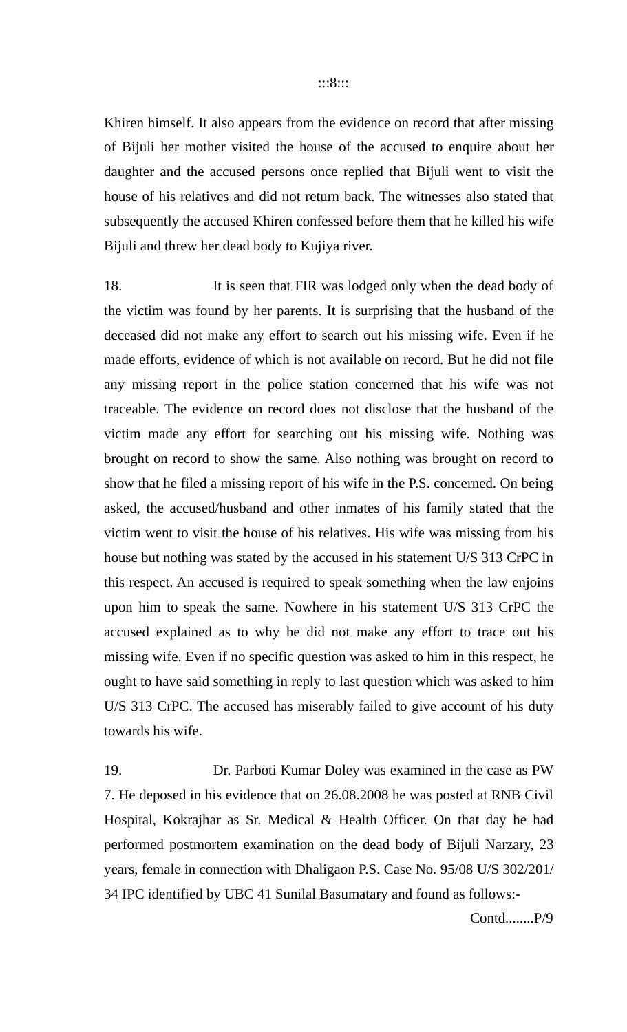Khiren himself. It also appears from the evidence on record that after missing of Bijuli her mother visited the house of the accused to enquire about her daughter and the accused persons once replied that Bijuli went to visit the house of his relatives and did not return back. The witnesses also stated that subsequently the accused Khiren confessed before them that he killed his wife Bijuli and threw her dead body to Kujiya river.

18. It is seen that FIR was lodged only when the dead body of the victim was found by her parents. It is surprising that the husband of the deceased did not make any effort to search out his missing wife. Even if he made efforts, evidence of which is not available on record. But he did not file any missing report in the police station concerned that his wife was not traceable. The evidence on record does not disclose that the husband of the victim made any effort for searching out his missing wife. Nothing was brought on record to show the same. Also nothing was brought on record to show that he filed a missing report of his wife in the P.S. concerned. On being asked, the accused/husband and other inmates of his family stated that the victim went to visit the house of his relatives. His wife was missing from his house but nothing was stated by the accused in his statement U/S 313 CrPC in this respect. An accused is required to speak something when the law enjoins upon him to speak the same. Nowhere in his statement U/S 313 CrPC the accused explained as to why he did not make any effort to trace out his missing wife. Even if no specific question was asked to him in this respect, he ought to have said something in reply to last question which was asked to him U/S 313 CrPC. The accused has miserably failed to give account of his duty towards his wife.

19. Dr. Parboti Kumar Doley was examined in the case as PW 7. He deposed in his evidence that on 26.08.2008 he was posted at RNB Civil Hospital, Kokrajhar as Sr. Medical & Health Officer. On that day he had performed postmortem examination on the dead body of Bijuli Narzary, 23 years, female in connection with Dhaligaon P.S. Case No. 95/08 U/S 302/201/ 34 IPC identified by UBC 41 Sunilal Basumatary and found as follows:-

Contd........P/9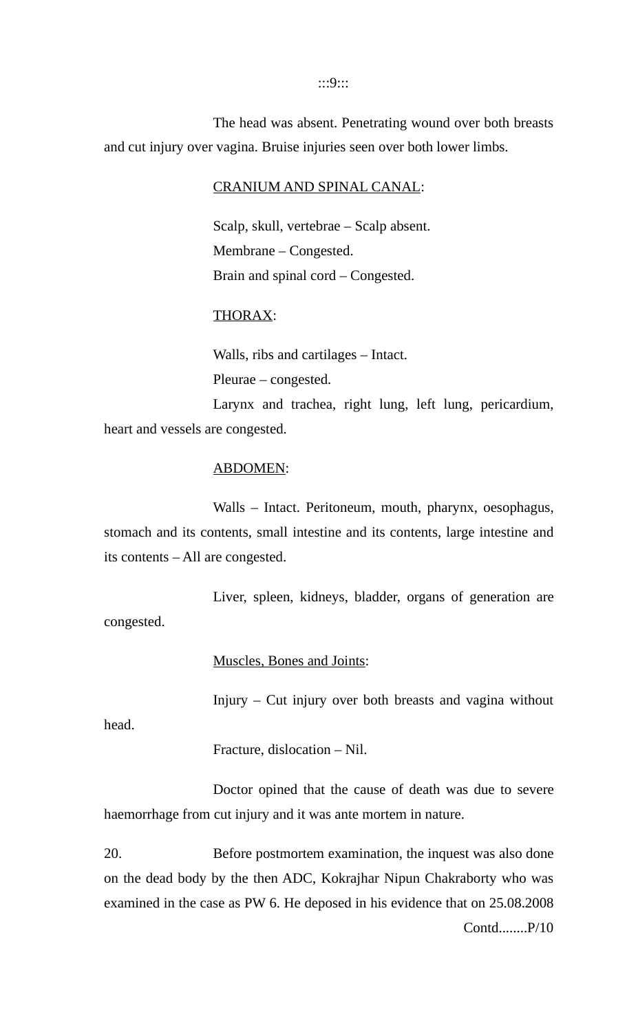:::9:::

The head was absent. Penetrating wound over both breasts and cut injury over vagina. Bruise injuries seen over both lower limbs.

CRANIUM AND SPINAL CANAL:

Scalp, skull, vertebrae – Scalp absent. Membrane – Congested. Brain and spinal cord – Congested.

# THORAX:

Walls, ribs and cartilages – Intact. Pleurae – congested.

Larynx and trachea, right lung, left lung, pericardium, heart and vessels are congested.

### ABDOMEN:

Walls – Intact. Peritoneum, mouth, pharynx, oesophagus, stomach and its contents, small intestine and its contents, large intestine and its contents – All are congested.

Liver, spleen, kidneys, bladder, organs of generation are congested.

Muscles, Bones and Joints:

Injury – Cut injury over both breasts and vagina without

head.

Fracture, dislocation – Nil.

Doctor opined that the cause of death was due to severe haemorrhage from cut injury and it was ante mortem in nature.

20. Before postmortem examination, the inquest was also done on the dead body by the then ADC, Kokrajhar Nipun Chakraborty who was examined in the case as PW 6. He deposed in his evidence that on 25.08.2008 Contd........P/10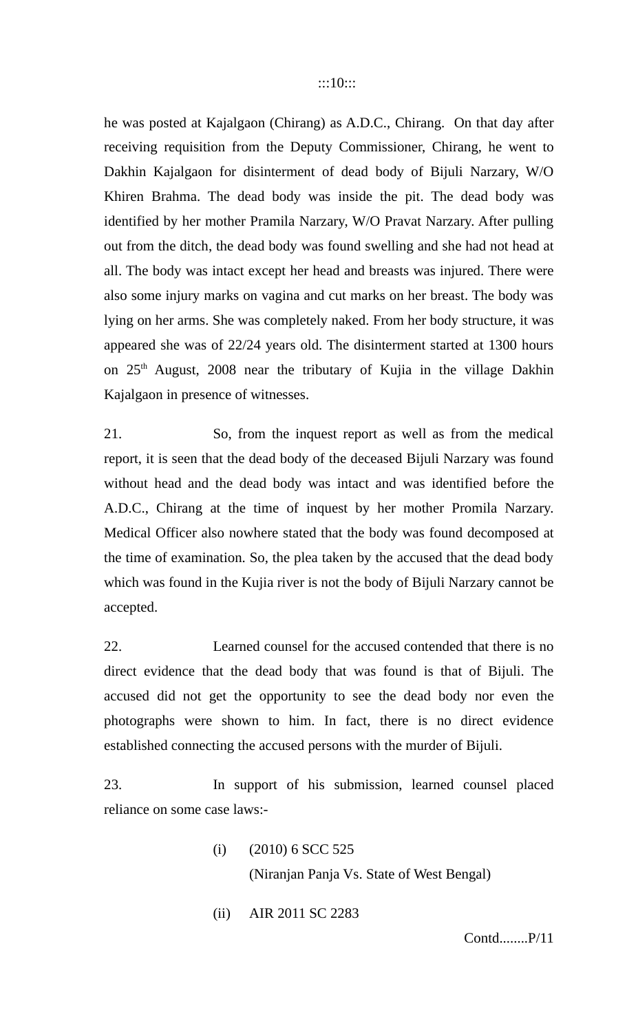he was posted at Kajalgaon (Chirang) as A.D.C., Chirang. On that day after receiving requisition from the Deputy Commissioner, Chirang, he went to Dakhin Kajalgaon for disinterment of dead body of Bijuli Narzary, W/O Khiren Brahma. The dead body was inside the pit. The dead body was identified by her mother Pramila Narzary, W/O Pravat Narzary. After pulling out from the ditch, the dead body was found swelling and she had not head at all. The body was intact except her head and breasts was injured. There were also some injury marks on vagina and cut marks on her breast. The body was lying on her arms. She was completely naked. From her body structure, it was appeared she was of 22/24 years old. The disinterment started at 1300 hours on  $25<sup>th</sup>$  August, 2008 near the tributary of Kujia in the village Dakhin Kajalgaon in presence of witnesses.

21. So, from the inquest report as well as from the medical report, it is seen that the dead body of the deceased Bijuli Narzary was found without head and the dead body was intact and was identified before the A.D.C., Chirang at the time of inquest by her mother Promila Narzary. Medical Officer also nowhere stated that the body was found decomposed at the time of examination. So, the plea taken by the accused that the dead body which was found in the Kujia river is not the body of Bijuli Narzary cannot be accepted.

22. Learned counsel for the accused contended that there is no direct evidence that the dead body that was found is that of Bijuli. The accused did not get the opportunity to see the dead body nor even the photographs were shown to him. In fact, there is no direct evidence established connecting the accused persons with the murder of Bijuli.

23. In support of his submission, learned counsel placed reliance on some case laws:-

(i) (2010) 6 SCC 525

(Niranjan Panja Vs. State of West Bengal)

(ii) AIR 2011 SC 2283

Contd........P/11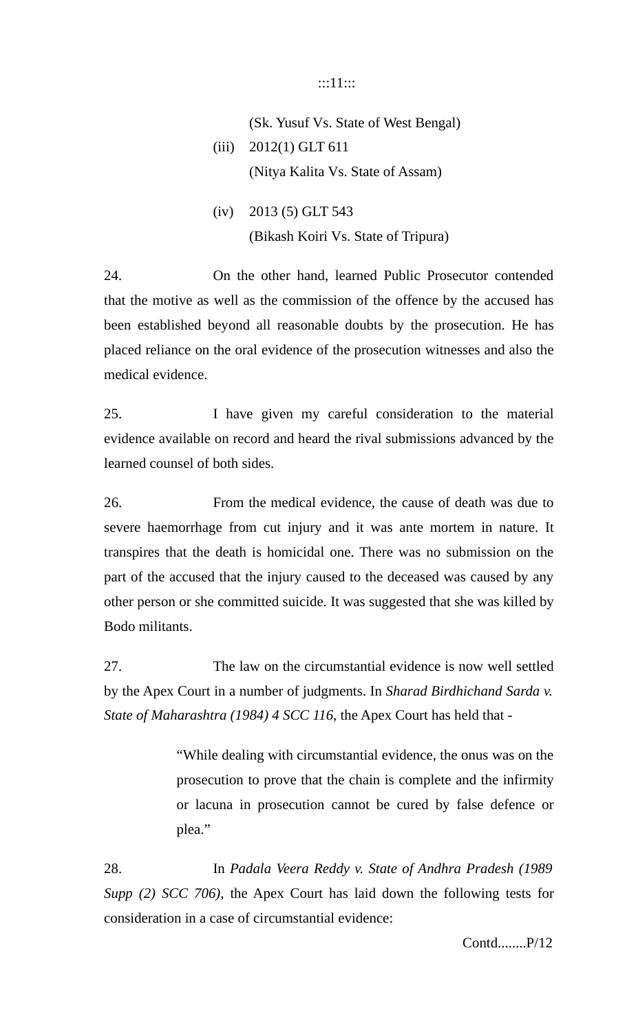## :::11:::

# (Sk. Yusuf Vs. State of West Bengal) (iii) 2012(1) GLT 611 (Nitya Kalita Vs. State of Assam)

(iv) 2013 (5) GLT 543 (Bikash Koiri Vs. State of Tripura)

24. On the other hand, learned Public Prosecutor contended that the motive as well as the commission of the offence by the accused has been established beyond all reasonable doubts by the prosecution. He has placed reliance on the oral evidence of the prosecution witnesses and also the medical evidence.

25. I have given my careful consideration to the material evidence available on record and heard the rival submissions advanced by the learned counsel of both sides.

26. From the medical evidence, the cause of death was due to severe haemorrhage from cut injury and it was ante mortem in nature. It transpires that the death is homicidal one. There was no submission on the part of the accused that the injury caused to the deceased was caused by any other person or she committed suicide. It was suggested that she was killed by Bodo militants.

27. The law on the circumstantial evidence is now well settled by the Apex Court in a number of judgments. In *Sharad Birdhichand Sarda v. State of Maharashtra (1984) 4 SCC 116*, the Apex Court has held that -

> "While dealing with circumstantial evidence, the onus was on the prosecution to prove that the chain is complete and the infirmity or lacuna in prosecution cannot be cured by false defence or plea."

28. In *Padala Veera Reddy v. State of Andhra Pradesh (1989 Supp (2) SCC 706)*, the Apex Court has laid down the following tests for consideration in a case of circumstantial evidence:

Contd........P/12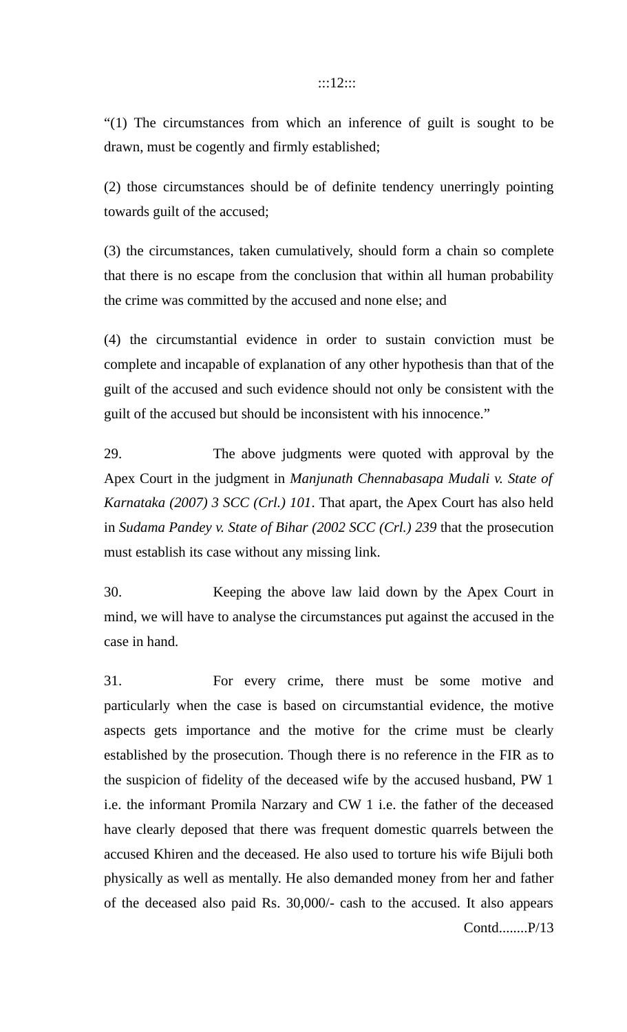### :::12:::

"(1) The circumstances from which an inference of guilt is sought to be drawn, must be cogently and firmly established;

(2) those circumstances should be of definite tendency unerringly pointing towards guilt of the accused;

(3) the circumstances, taken cumulatively, should form a chain so complete that there is no escape from the conclusion that within all human probability the crime was committed by the accused and none else; and

(4) the circumstantial evidence in order to sustain conviction must be complete and incapable of explanation of any other hypothesis than that of the guilt of the accused and such evidence should not only be consistent with the guilt of the accused but should be inconsistent with his innocence."

29. The above judgments were quoted with approval by the Apex Court in the judgment in *Manjunath Chennabasapa Mudali v. State of Karnataka (2007) 3 SCC (Crl.) 101*. That apart, the Apex Court has also held in *Sudama Pandey v. State of Bihar (2002 SCC (Crl.) 239* that the prosecution must establish its case without any missing link.

30. Keeping the above law laid down by the Apex Court in mind, we will have to analyse the circumstances put against the accused in the case in hand.

31. For every crime, there must be some motive and particularly when the case is based on circumstantial evidence, the motive aspects gets importance and the motive for the crime must be clearly established by the prosecution. Though there is no reference in the FIR as to the suspicion of fidelity of the deceased wife by the accused husband, PW 1 i.e. the informant Promila Narzary and CW 1 i.e. the father of the deceased have clearly deposed that there was frequent domestic quarrels between the accused Khiren and the deceased. He also used to torture his wife Bijuli both physically as well as mentally. He also demanded money from her and father of the deceased also paid Rs. 30,000/- cash to the accused. It also appears Contd........P/13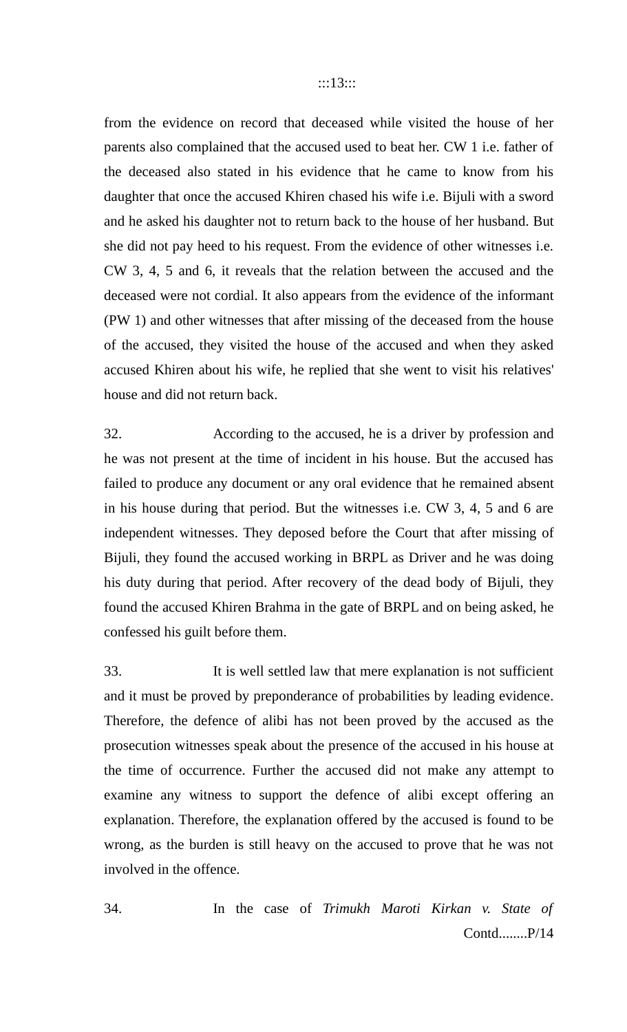from the evidence on record that deceased while visited the house of her parents also complained that the accused used to beat her. CW 1 i.e. father of the deceased also stated in his evidence that he came to know from his daughter that once the accused Khiren chased his wife i.e. Bijuli with a sword and he asked his daughter not to return back to the house of her husband. But she did not pay heed to his request. From the evidence of other witnesses i.e. CW 3, 4, 5 and 6, it reveals that the relation between the accused and the deceased were not cordial. It also appears from the evidence of the informant (PW 1) and other witnesses that after missing of the deceased from the house of the accused, they visited the house of the accused and when they asked accused Khiren about his wife, he replied that she went to visit his relatives' house and did not return back.

32. According to the accused, he is a driver by profession and he was not present at the time of incident in his house. But the accused has failed to produce any document or any oral evidence that he remained absent in his house during that period. But the witnesses i.e. CW 3, 4, 5 and 6 are independent witnesses. They deposed before the Court that after missing of Bijuli, they found the accused working in BRPL as Driver and he was doing his duty during that period. After recovery of the dead body of Bijuli, they found the accused Khiren Brahma in the gate of BRPL and on being asked, he confessed his guilt before them.

33. It is well settled law that mere explanation is not sufficient and it must be proved by preponderance of probabilities by leading evidence. Therefore, the defence of alibi has not been proved by the accused as the prosecution witnesses speak about the presence of the accused in his house at the time of occurrence. Further the accused did not make any attempt to examine any witness to support the defence of alibi except offering an explanation. Therefore, the explanation offered by the accused is found to be wrong, as the burden is still heavy on the accused to prove that he was not involved in the offence.

34. In the case of *Trimukh Maroti Kirkan v. State of* Contd........P/14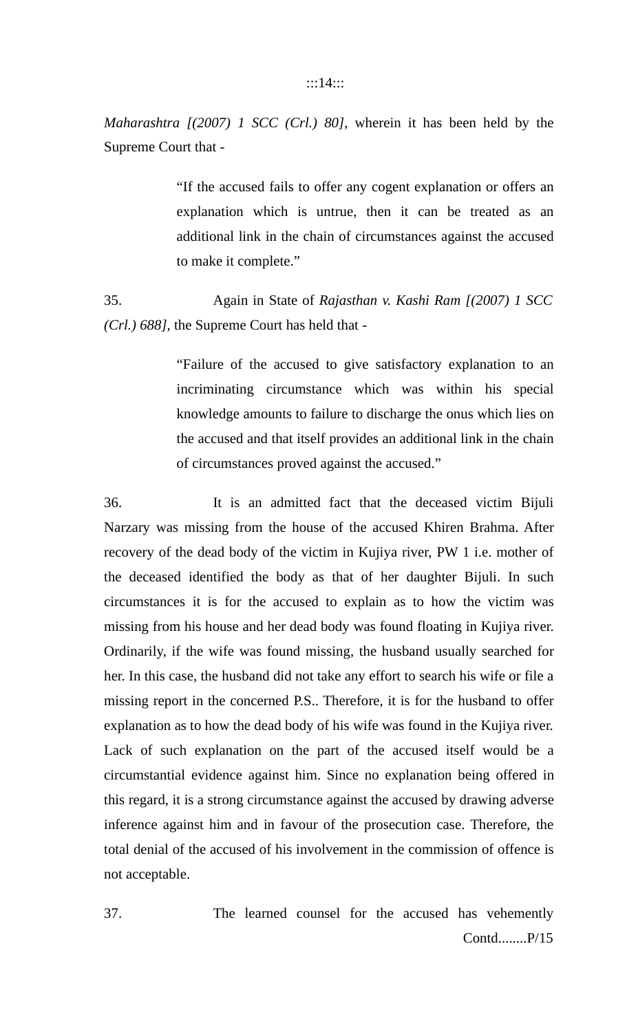*Maharashtra [(2007) 1 SCC (Crl.) 80]*, wherein it has been held by the Supreme Court that -

> "If the accused fails to offer any cogent explanation or offers an explanation which is untrue, then it can be treated as an additional link in the chain of circumstances against the accused to make it complete."

35. Again in State of *Rajasthan v. Kashi Ram [(2007) 1 SCC (Crl.) 688]*, the Supreme Court has held that -

> "Failure of the accused to give satisfactory explanation to an incriminating circumstance which was within his special knowledge amounts to failure to discharge the onus which lies on the accused and that itself provides an additional link in the chain of circumstances proved against the accused."

36. It is an admitted fact that the deceased victim Bijuli Narzary was missing from the house of the accused Khiren Brahma. After recovery of the dead body of the victim in Kujiya river, PW 1 i.e. mother of the deceased identified the body as that of her daughter Bijuli. In such circumstances it is for the accused to explain as to how the victim was missing from his house and her dead body was found floating in Kujiya river. Ordinarily, if the wife was found missing, the husband usually searched for her. In this case, the husband did not take any effort to search his wife or file a missing report in the concerned P.S.. Therefore, it is for the husband to offer explanation as to how the dead body of his wife was found in the Kujiya river. Lack of such explanation on the part of the accused itself would be a circumstantial evidence against him. Since no explanation being offered in this regard, it is a strong circumstance against the accused by drawing adverse inference against him and in favour of the prosecution case. Therefore, the total denial of the accused of his involvement in the commission of offence is not acceptable.

37. The learned counsel for the accused has vehemently Contd........P/15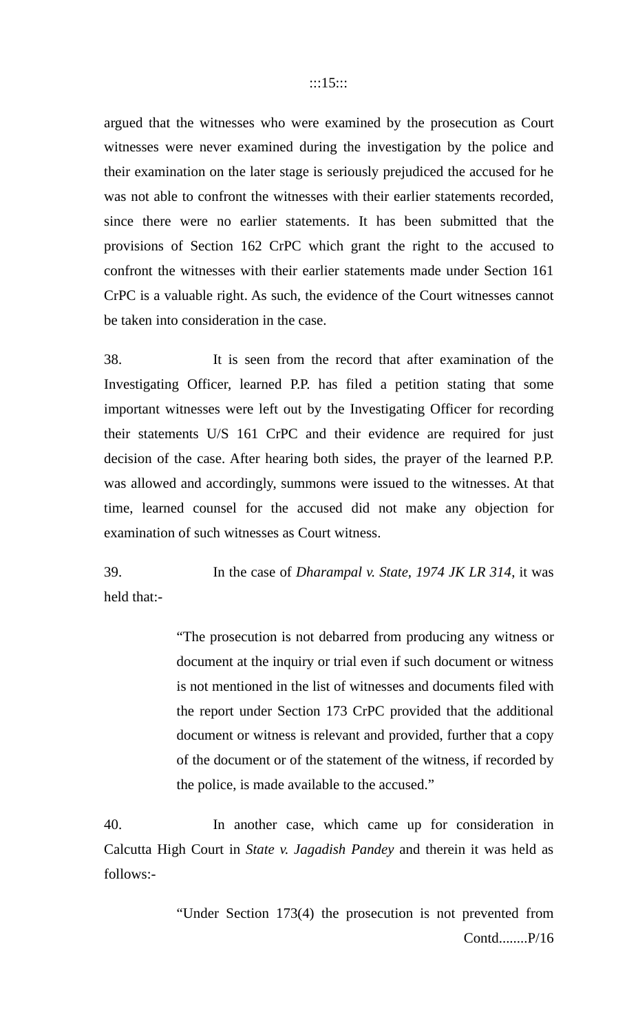argued that the witnesses who were examined by the prosecution as Court witnesses were never examined during the investigation by the police and their examination on the later stage is seriously prejudiced the accused for he was not able to confront the witnesses with their earlier statements recorded, since there were no earlier statements. It has been submitted that the provisions of Section 162 CrPC which grant the right to the accused to confront the witnesses with their earlier statements made under Section 161 CrPC is a valuable right. As such, the evidence of the Court witnesses cannot be taken into consideration in the case.

38. It is seen from the record that after examination of the Investigating Officer, learned P.P. has filed a petition stating that some important witnesses were left out by the Investigating Officer for recording their statements U/S 161 CrPC and their evidence are required for just decision of the case. After hearing both sides, the prayer of the learned P.P. was allowed and accordingly, summons were issued to the witnesses. At that time, learned counsel for the accused did not make any objection for examination of such witnesses as Court witness.

39. In the case of *Dharampal v. State, 1974 JK LR 314*, it was held that:-

> "The prosecution is not debarred from producing any witness or document at the inquiry or trial even if such document or witness is not mentioned in the list of witnesses and documents filed with the report under Section 173 CrPC provided that the additional document or witness is relevant and provided, further that a copy of the document or of the statement of the witness, if recorded by the police, is made available to the accused."

40. In another case, which came up for consideration in Calcutta High Court in *State v. Jagadish Pandey* and therein it was held as follows:-

> "Under Section 173(4) the prosecution is not prevented from Contd........P/16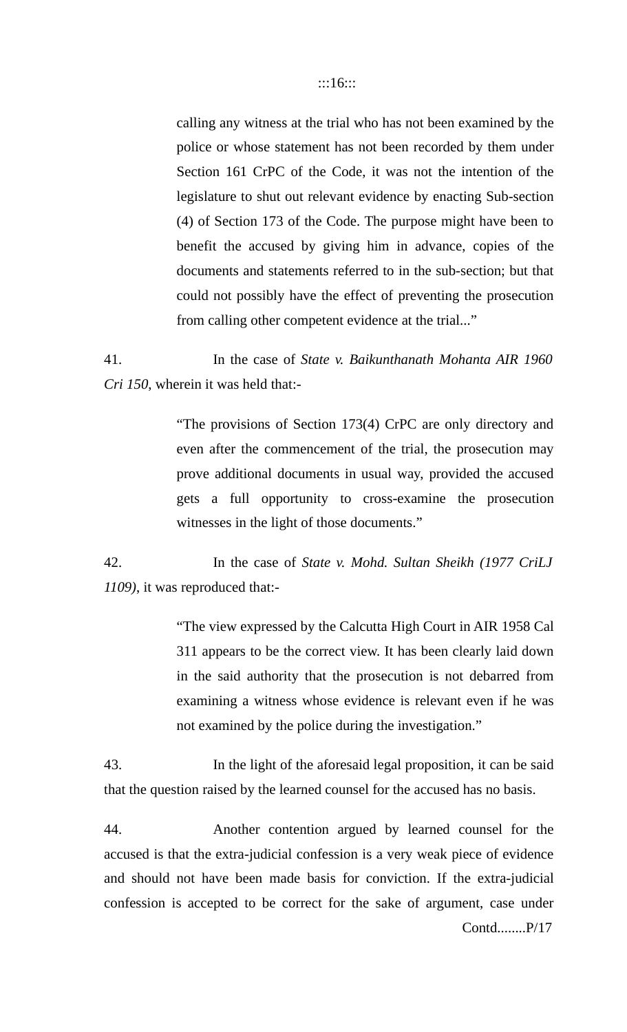calling any witness at the trial who has not been examined by the police or whose statement has not been recorded by them under Section 161 CrPC of the Code, it was not the intention of the legislature to shut out relevant evidence by enacting Sub-section (4) of Section 173 of the Code. The purpose might have been to benefit the accused by giving him in advance, copies of the documents and statements referred to in the sub-section; but that could not possibly have the effect of preventing the prosecution from calling other competent evidence at the trial..."

41. In the case of *State v. Baikunthanath Mohanta AIR 1960 Cri 150*, wherein it was held that:-

> "The provisions of Section 173(4) CrPC are only directory and even after the commencement of the trial, the prosecution may prove additional documents in usual way, provided the accused gets a full opportunity to cross-examine the prosecution witnesses in the light of those documents."

42. In the case of *State v. Mohd. Sultan Sheikh (1977 CriLJ 1109)*, it was reproduced that:-

> "The view expressed by the Calcutta High Court in AIR 1958 Cal 311 appears to be the correct view. It has been clearly laid down in the said authority that the prosecution is not debarred from examining a witness whose evidence is relevant even if he was not examined by the police during the investigation."

43. In the light of the aforesaid legal proposition, it can be said that the question raised by the learned counsel for the accused has no basis.

44. Another contention argued by learned counsel for the accused is that the extra-judicial confession is a very weak piece of evidence and should not have been made basis for conviction. If the extra-judicial confession is accepted to be correct for the sake of argument, case under Contd........P/17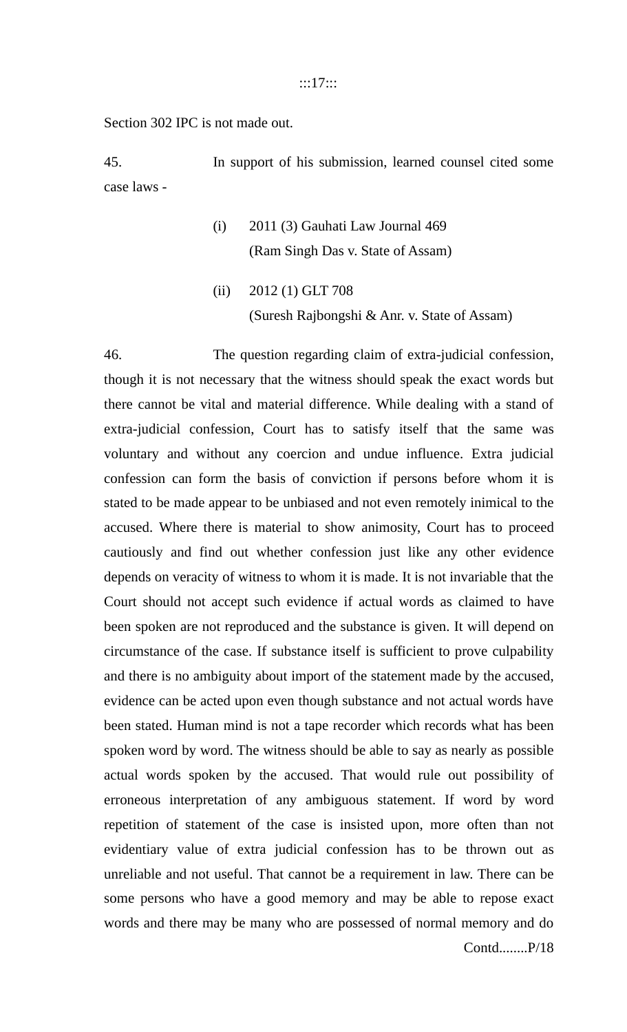:::17:::

Section 302 IPC is not made out.

45. In support of his submission, learned counsel cited some case laws -

- (i) 2011 (3) Gauhati Law Journal 469 (Ram Singh Das v. State of Assam)
- (ii) 2012 (1) GLT 708 (Suresh Rajbongshi & Anr. v. State of Assam)

46. The question regarding claim of extra-judicial confession, though it is not necessary that the witness should speak the exact words but there cannot be vital and material difference. While dealing with a stand of extra-judicial confession, Court has to satisfy itself that the same was voluntary and without any coercion and undue influence. Extra judicial confession can form the basis of conviction if persons before whom it is stated to be made appear to be unbiased and not even remotely inimical to the accused. Where there is material to show animosity, Court has to proceed cautiously and find out whether confession just like any other evidence depends on veracity of witness to whom it is made. It is not invariable that the Court should not accept such evidence if actual words as claimed to have been spoken are not reproduced and the substance is given. It will depend on circumstance of the case. If substance itself is sufficient to prove culpability and there is no ambiguity about import of the statement made by the accused, evidence can be acted upon even though substance and not actual words have been stated. Human mind is not a tape recorder which records what has been spoken word by word. The witness should be able to say as nearly as possible actual words spoken by the accused. That would rule out possibility of erroneous interpretation of any ambiguous statement. If word by word repetition of statement of the case is insisted upon, more often than not evidentiary value of extra judicial confession has to be thrown out as unreliable and not useful. That cannot be a requirement in law. There can be some persons who have a good memory and may be able to repose exact words and there may be many who are possessed of normal memory and do Contd........P/18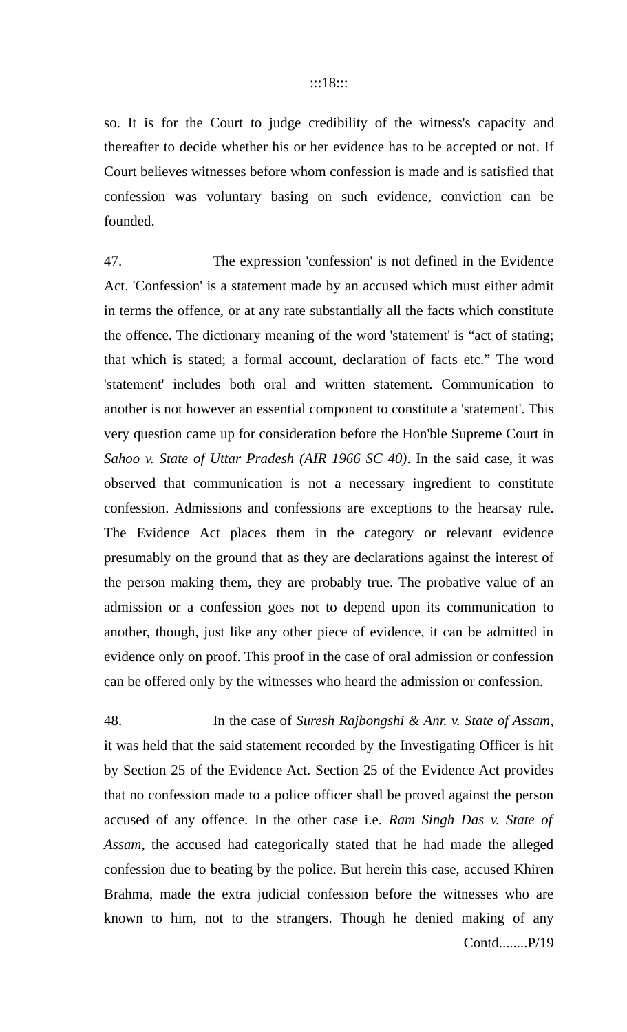so. It is for the Court to judge credibility of the witness's capacity and thereafter to decide whether his or her evidence has to be accepted or not. If Court believes witnesses before whom confession is made and is satisfied that confession was voluntary basing on such evidence, conviction can be founded.

47. The expression 'confession' is not defined in the Evidence Act. 'Confession' is a statement made by an accused which must either admit in terms the offence, or at any rate substantially all the facts which constitute the offence. The dictionary meaning of the word 'statement' is "act of stating; that which is stated; a formal account, declaration of facts etc." The word 'statement' includes both oral and written statement. Communication to another is not however an essential component to constitute a 'statement'. This very question came up for consideration before the Hon'ble Supreme Court in *Sahoo v. State of Uttar Pradesh (AIR 1966 SC 40)*. In the said case, it was observed that communication is not a necessary ingredient to constitute confession. Admissions and confessions are exceptions to the hearsay rule. The Evidence Act places them in the category or relevant evidence presumably on the ground that as they are declarations against the interest of the person making them, they are probably true. The probative value of an admission or a confession goes not to depend upon its communication to another, though, just like any other piece of evidence, it can be admitted in evidence only on proof. This proof in the case of oral admission or confession can be offered only by the witnesses who heard the admission or confession.

48. In the case of *Suresh Rajbongshi & Anr. v. State of Assam*, it was held that the said statement recorded by the Investigating Officer is hit by Section 25 of the Evidence Act. Section 25 of the Evidence Act provides that no confession made to a police officer shall be proved against the person accused of any offence. In the other case i.e. *Ram Singh Das v. State of Assam*, the accused had categorically stated that he had made the alleged confession due to beating by the police. But herein this case, accused Khiren Brahma, made the extra judicial confession before the witnesses who are known to him, not to the strangers. Though he denied making of any Contd........P/19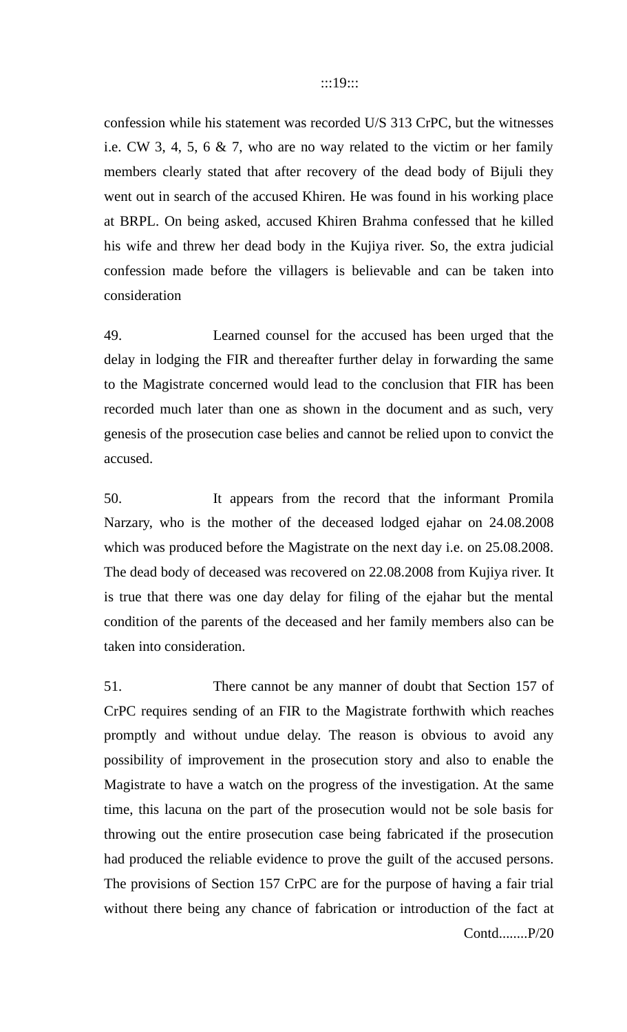confession while his statement was recorded U/S 313 CrPC, but the witnesses i.e. CW 3, 4, 5, 6 & 7, who are no way related to the victim or her family members clearly stated that after recovery of the dead body of Bijuli they went out in search of the accused Khiren. He was found in his working place at BRPL. On being asked, accused Khiren Brahma confessed that he killed his wife and threw her dead body in the Kujiya river. So, the extra judicial confession made before the villagers is believable and can be taken into consideration

49. Learned counsel for the accused has been urged that the delay in lodging the FIR and thereafter further delay in forwarding the same to the Magistrate concerned would lead to the conclusion that FIR has been recorded much later than one as shown in the document and as such, very genesis of the prosecution case belies and cannot be relied upon to convict the accused.

50. It appears from the record that the informant Promila Narzary, who is the mother of the deceased lodged ejahar on 24.08.2008 which was produced before the Magistrate on the next day i.e. on 25.08.2008. The dead body of deceased was recovered on 22.08.2008 from Kujiya river. It is true that there was one day delay for filing of the ejahar but the mental condition of the parents of the deceased and her family members also can be taken into consideration.

51. There cannot be any manner of doubt that Section 157 of CrPC requires sending of an FIR to the Magistrate forthwith which reaches promptly and without undue delay. The reason is obvious to avoid any possibility of improvement in the prosecution story and also to enable the Magistrate to have a watch on the progress of the investigation. At the same time, this lacuna on the part of the prosecution would not be sole basis for throwing out the entire prosecution case being fabricated if the prosecution had produced the reliable evidence to prove the guilt of the accused persons. The provisions of Section 157 CrPC are for the purpose of having a fair trial without there being any chance of fabrication or introduction of the fact at Contd........P/20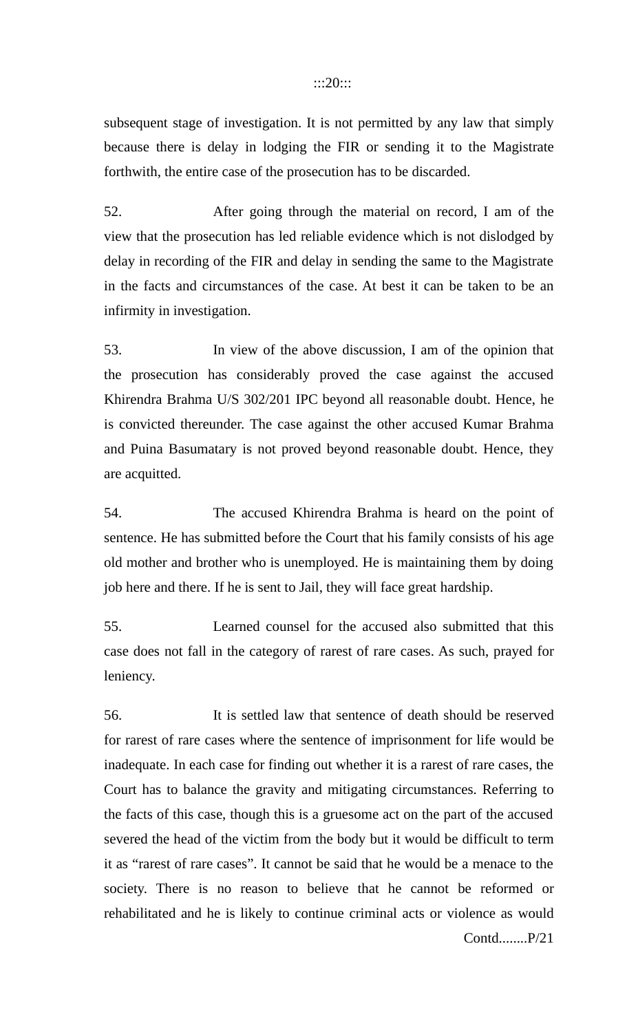### :::20:::

subsequent stage of investigation. It is not permitted by any law that simply because there is delay in lodging the FIR or sending it to the Magistrate forthwith, the entire case of the prosecution has to be discarded.

52. After going through the material on record, I am of the view that the prosecution has led reliable evidence which is not dislodged by delay in recording of the FIR and delay in sending the same to the Magistrate in the facts and circumstances of the case. At best it can be taken to be an infirmity in investigation.

53. In view of the above discussion, I am of the opinion that the prosecution has considerably proved the case against the accused Khirendra Brahma U/S 302/201 IPC beyond all reasonable doubt. Hence, he is convicted thereunder. The case against the other accused Kumar Brahma and Puina Basumatary is not proved beyond reasonable doubt. Hence, they are acquitted.

54. The accused Khirendra Brahma is heard on the point of sentence. He has submitted before the Court that his family consists of his age old mother and brother who is unemployed. He is maintaining them by doing job here and there. If he is sent to Jail, they will face great hardship.

55. Learned counsel for the accused also submitted that this case does not fall in the category of rarest of rare cases. As such, prayed for leniency.

56. It is settled law that sentence of death should be reserved for rarest of rare cases where the sentence of imprisonment for life would be inadequate. In each case for finding out whether it is a rarest of rare cases, the Court has to balance the gravity and mitigating circumstances. Referring to the facts of this case, though this is a gruesome act on the part of the accused severed the head of the victim from the body but it would be difficult to term it as "rarest of rare cases". It cannot be said that he would be a menace to the society. There is no reason to believe that he cannot be reformed or rehabilitated and he is likely to continue criminal acts or violence as would Contd........P/21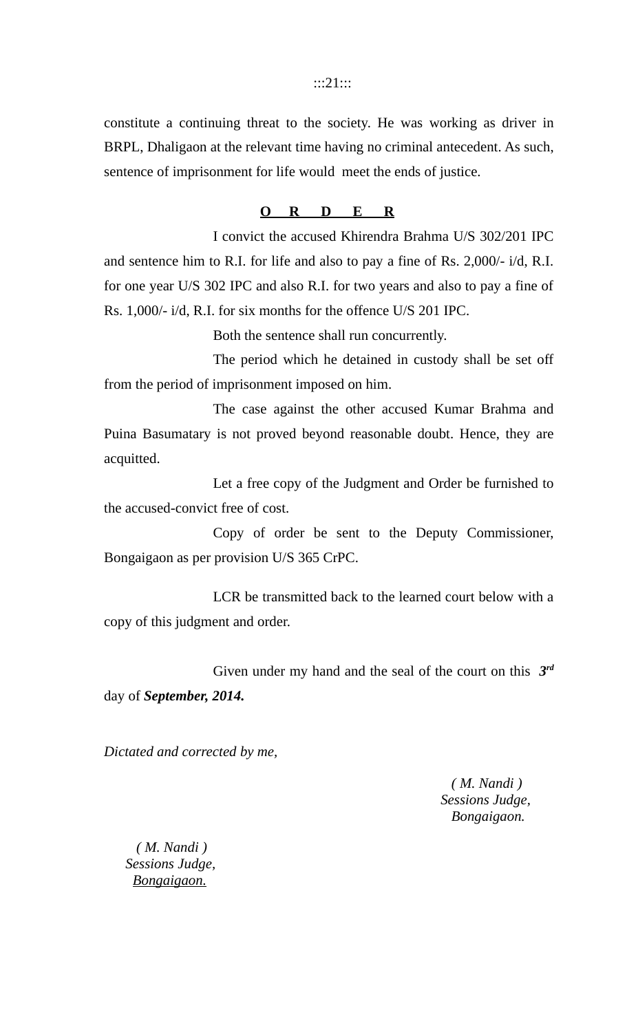### :::21:::

constitute a continuing threat to the society. He was working as driver in BRPL, Dhaligaon at the relevant time having no criminal antecedent. As such, sentence of imprisonment for life would meet the ends of justice.

## **O R D E R**

I convict the accused Khirendra Brahma U/S 302/201 IPC and sentence him to R.I. for life and also to pay a fine of Rs. 2,000/- i/d, R.I. for one year U/S 302 IPC and also R.I. for two years and also to pay a fine of Rs. 1,000/- i/d, R.I. for six months for the offence U/S 201 IPC.

Both the sentence shall run concurrently.

The period which he detained in custody shall be set off from the period of imprisonment imposed on him.

The case against the other accused Kumar Brahma and Puina Basumatary is not proved beyond reasonable doubt. Hence, they are acquitted.

Let a free copy of the Judgment and Order be furnished to the accused-convict free of cost.

Copy of order be sent to the Deputy Commissioner, Bongaigaon as per provision U/S 365 CrPC.

LCR be transmitted back to the learned court below with a copy of this judgment and order.

Given under my hand and the seal of the court on this *3 rd* day of *September, 2014.*

*Dictated and corrected by me,*

 *( M. Nandi ) Sessions Judge, Bongaigaon.*

 *( M. Nandi ) Sessions Judge, Bongaigaon.*